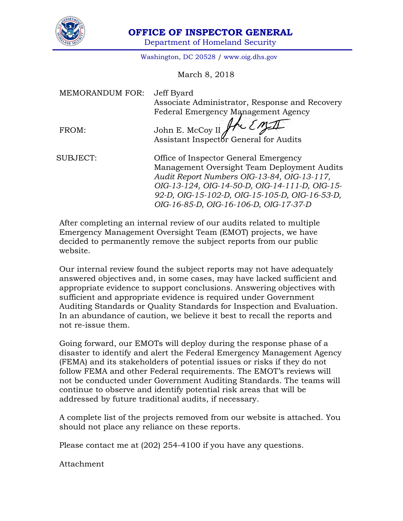

## **OFFICE OF INSPECTOR GENERAL**

Department of Homeland Security

Washington, DC 20528 / [www.oig.dhs.gov](http://www.oig.dhs.gov/)

March 8, 2018

| <b>MEMORANDUM FOR:</b> | Jeff Byard<br>Associate Administrator, Response and Recovery<br>Federal Emergency Management Agency                                                                                                                                                                               |
|------------------------|-----------------------------------------------------------------------------------------------------------------------------------------------------------------------------------------------------------------------------------------------------------------------------------|
| FROM:                  | John E. McCoy II He Em                                                                                                                                                                                                                                                            |
| SUBJECT:               | Office of Inspector General Emergency<br>Management Oversight Team Deployment Audits<br>Audit Report Numbers OIG-13-84, OIG-13-117,<br>OIG-13-124, OIG-14-50-D, OIG-14-111-D, OIG-15-<br>92-D, OIG-15-102-D, OIG-15-105-D, OIG-16-53-D,<br>OIG-16-85-D, OIG-16-106-D, OIG-17-37-D |

After completing an internal review of our audits related to multiple Emergency Management Oversight Team (EMOT) projects, we have decided to permanently remove the subject reports from our public website.

Our internal review found the subject reports may not have adequately answered objectives and, in some cases, may have lacked sufficient and appropriate evidence to support conclusions. Answering objectives with sufficient and appropriate evidence is required under Government Auditing Standards or Quality Standards for Inspection and Evaluation. In an abundance of caution, we believe it best to recall the reports and not re-issue them.

Going forward, our EMOTs will deploy during the response phase of a disaster to identify and alert the Federal Emergency Management Agency (FEMA) and its stakeholders of potential issues or risks if they do not follow FEMA and other Federal requirements. The EMOT's reviews will not be conducted under Government Auditing Standards. The teams will continue to observe and identify potential risk areas that will be addressed by future traditional audits, if necessary.

A complete list of the projects removed from our website is attached. You should not place any reliance on these reports.

Please contact me at (202) 254-4100 if you have any questions.

Attachment